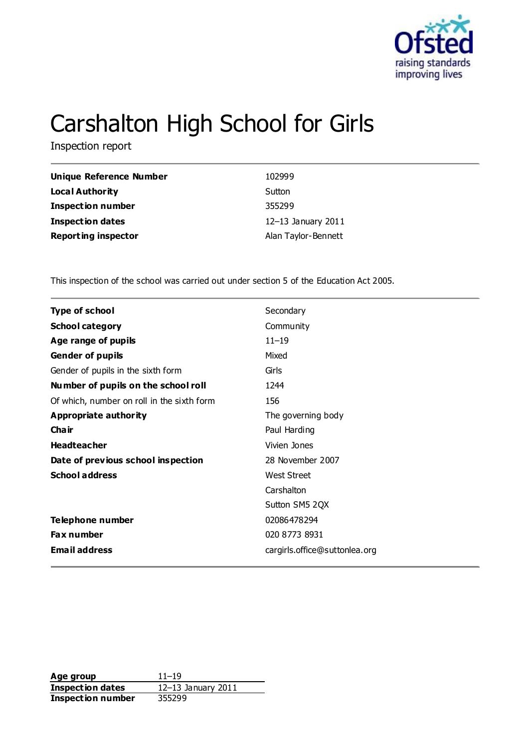

# Carshalton High School for Girls

Inspection report

| <b>Unique Reference Number</b> | 102999              |
|--------------------------------|---------------------|
| <b>Local Authority</b>         | Sutton              |
| <b>Inspection number</b>       | 355299              |
| <b>Inspection dates</b>        | 12-13 January 2011  |
| <b>Reporting inspector</b>     | Alan Taylor-Bennett |

This inspection of the school was carried out under section 5 of the Education Act 2005.

| <b>Type of school</b>                      | Secondary                     |
|--------------------------------------------|-------------------------------|
| <b>School category</b>                     | Community                     |
| Age range of pupils                        | $11 - 19$                     |
| <b>Gender of pupils</b>                    | Mixed                         |
| Gender of pupils in the sixth form         | Girls                         |
| Number of pupils on the school roll        | 1244                          |
| Of which, number on roll in the sixth form | 156                           |
| <b>Appropriate authority</b>               | The governing body            |
| Cha ir                                     | Paul Harding                  |
| <b>Headteacher</b>                         | Vivien Jones                  |
| Date of previous school inspection         | 28 November 2007              |
| <b>School address</b>                      | <b>West Street</b>            |
|                                            | Carshalton                    |
|                                            | Sutton SM5 2QX                |
| Telephone number                           | 02086478294                   |
| <b>Fax number</b>                          | 020 8773 8931                 |
| <b>Email address</b>                       | cargirls.office@suttonlea.org |

**Age group** 11–19<br> **Inspection dates** 12–13 January 2011 **Inspection dates Inspection number** 355299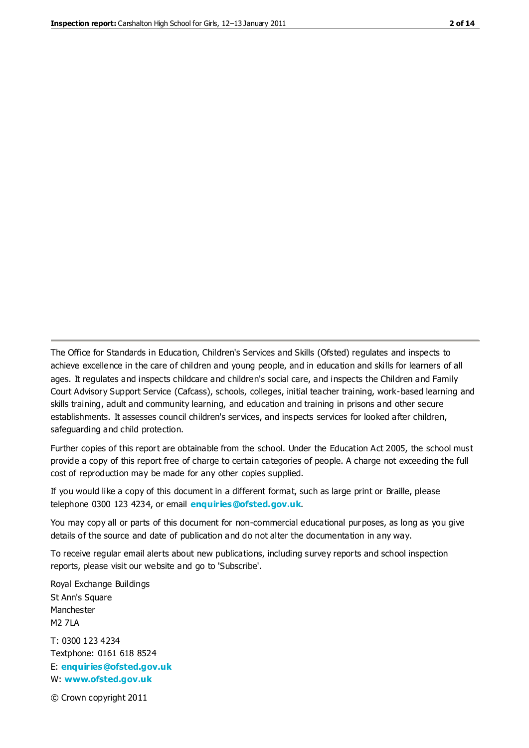The Office for Standards in Education, Children's Services and Skills (Ofsted) regulates and inspects to achieve excellence in the care of children and young people, and in education and skills for learners of all ages. It regulates and inspects childcare and children's social care, and inspects the Children and Family Court Advisory Support Service (Cafcass), schools, colleges, initial teacher training, work-based learning and skills training, adult and community learning, and education and training in prisons and other secure establishments. It assesses council children's services, and inspects services for looked after children, safeguarding and child protection.

Further copies of this report are obtainable from the school. Under the Education Act 2005, the school must provide a copy of this report free of charge to certain categories of people. A charge not exceeding the full cost of reproduction may be made for any other copies supplied.

If you would like a copy of this document in a different format, such as large print or Braille, please telephone 0300 123 4234, or email **[enquiries@ofsted.gov.uk](mailto:enquiries@ofsted.gov.uk)**.

You may copy all or parts of this document for non-commercial educational purposes, as long as you give details of the source and date of publication and do not alter the documentation in any way.

To receive regular email alerts about new publications, including survey reports and school inspection reports, please visit our website and go to 'Subscribe'.

Royal Exchange Buildings St Ann's Square Manchester M2 7LA T: 0300 123 4234 Textphone: 0161 618 8524 E: **[enquiries@ofsted.gov.uk](mailto:enquiries@ofsted.gov.uk)**

W: **[www.ofsted.gov.uk](http://www.ofsted.gov.uk/)**

© Crown copyright 2011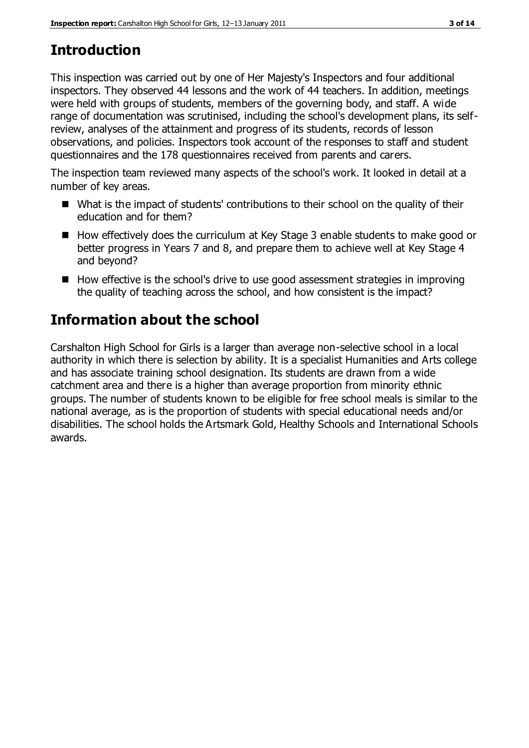# **Introduction**

This inspection was carried out by one of Her Majesty's Inspectors and four additional inspectors. They observed 44 lessons and the work of 44 teachers. In addition, meetings were held with groups of students, members of the governing body, and staff. A wide range of documentation was scrutinised, including the school's development plans, its selfreview, analyses of the attainment and progress of its students, records of lesson observations, and policies. Inspectors took account of the responses to staff and student questionnaires and the 178 questionnaires received from parents and carers.

The inspection team reviewed many aspects of the school's work. It looked in detail at a number of key areas.

- What is the impact of students' contributions to their school on the quality of their education and for them?
- $\blacksquare$  How effectively does the curriculum at Key Stage 3 enable students to make good or better progress in Years 7 and 8, and prepare them to achieve well at Key Stage 4 and beyond?
- $\blacksquare$  How effective is the school's drive to use good assessment strategies in improving the quality of teaching across the school, and how consistent is the impact?

# **Information about the school**

Carshalton High School for Girls is a larger than average non-selective school in a local authority in which there is selection by ability. It is a specialist Humanities and Arts college and has associate training school designation. Its students are drawn from a wide catchment area and there is a higher than average proportion from minority ethnic groups. The number of students known to be eligible for free school meals is similar to the national average, as is the proportion of students with special educational needs and/or disabilities. The school holds the Artsmark Gold, Healthy Schools and International Schools awards.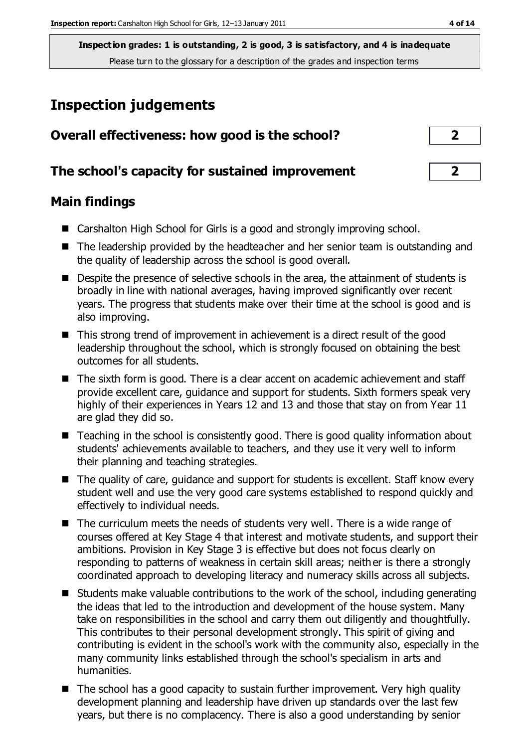# **Inspection judgements**

| Overall effectiveness: how good is the school?  |                |
|-------------------------------------------------|----------------|
| The school's capacity for sustained improvement | $\overline{2}$ |
| <b>Main findings</b>                            |                |

- Carshalton High School for Girls is a good and strongly improving school.
- The leadership provided by the headteacher and her senior team is outstanding and the quality of leadership across the school is good overall.
- Despite the presence of selective schools in the area, the attainment of students is broadly in line with national averages, having improved significantly over recent years. The progress that students make over their time at the school is good and is also improving.
- This strong trend of improvement in achievement is a direct result of the good leadership throughout the school, which is strongly focused on obtaining the best outcomes for all students.
- The sixth form is good. There is a clear accent on academic achievement and staff provide excellent care, guidance and support for students. Sixth formers speak very highly of their experiences in Years 12 and 13 and those that stay on from Year 11 are glad they did so.
- Teaching in the school is consistently good. There is good quality information about students' achievements available to teachers, and they use it very well to inform their planning and teaching strategies.
- The quality of care, guidance and support for students is excellent. Staff know every student well and use the very good care systems established to respond quickly and effectively to individual needs.
- The curriculum meets the needs of students very well. There is a wide range of courses offered at Key Stage 4 that interest and motivate students, and support their ambitions. Provision in Key Stage 3 is effective but does not focus clearly on responding to patterns of weakness in certain skill areas; neither is there a strongly coordinated approach to developing literacy and numeracy skills across all subjects.
- Students make valuable contributions to the work of the school, including generating the ideas that led to the introduction and development of the house system. Many take on responsibilities in the school and carry them out diligently and thoughtfully. This contributes to their personal development strongly. This spirit of giving and contributing is evident in the school's work with the community also, especially in the many community links established through the school's specialism in arts and humanities.
- The school has a good capacity to sustain further improvement. Very high quality development planning and leadership have driven up standards over the last few years, but there is no complacency. There is also a good understanding by senior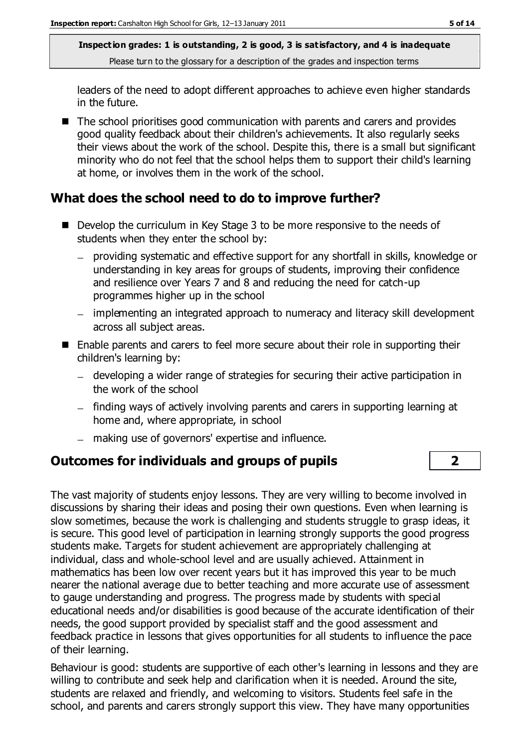leaders of the need to adopt different approaches to achieve even higher standards in the future.

■ The school prioritises good communication with parents and carers and provides good quality feedback about their children's achievements. It also regularly seeks their views about the work of the school. Despite this, there is a small but significant minority who do not feel that the school helps them to support their child's learning at home, or involves them in the work of the school.

## **What does the school need to do to improve further?**

- Develop the curriculum in Key Stage 3 to be more responsive to the needs of students when they enter the school by:
	- providing systematic and effective support for any shortfall in skills, knowledge or  $\equiv$ understanding in key areas for groups of students, improving their confidence and resilience over Years 7 and 8 and reducing the need for catch-up programmes higher up in the school
	- implementing an integrated approach to numeracy and literacy skill development across all subject areas.
- Enable parents and carers to feel more secure about their role in supporting their children's learning by:
	- developing a wider range of strategies for securing their active participation in the work of the school
	- finding ways of actively involving parents and carers in supporting learning at home and, where appropriate, in school
	- making use of governors' expertise and influence.

## **Outcomes for individuals and groups of pupils 2**

The vast majority of students enjoy lessons. They are very willing to become involved in discussions by sharing their ideas and posing their own questions. Even when learning is slow sometimes, because the work is challenging and students struggle to grasp ideas, it is secure. This good level of participation in learning strongly supports the good progress students make. Targets for student achievement are appropriately challenging at individual, class and whole-school level and are usually achieved. Attainment in mathematics has been low over recent years but it has improved this year to be much nearer the national average due to better teaching and more accurate use of assessment to gauge understanding and progress. The progress made by students with special educational needs and/or disabilities is good because of the accurate identification of their needs, the good support provided by specialist staff and the good assessment and feedback practice in lessons that gives opportunities for all students to influence the pace of their learning.

Behaviour is good: students are supportive of each other's learning in lessons and they are willing to contribute and seek help and clarification when it is needed. Around the site, students are relaxed and friendly, and welcoming to visitors. Students feel safe in the school, and parents and carers strongly support this view. They have many opportunities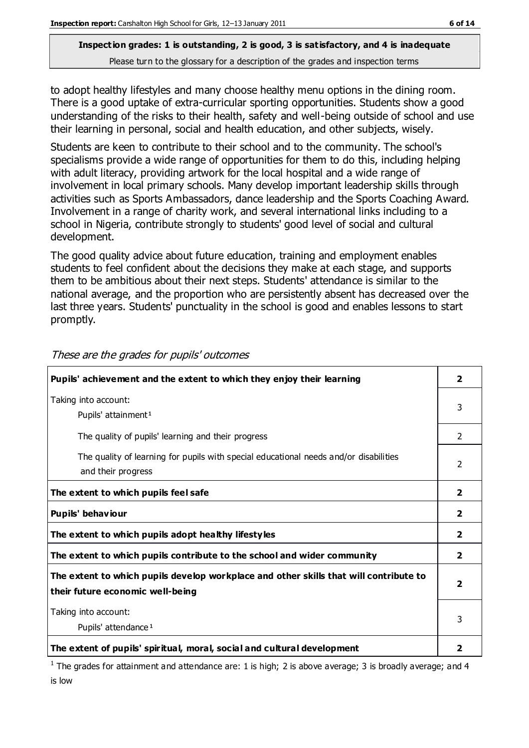to adopt healthy lifestyles and many choose healthy menu options in the dining room. There is a good uptake of extra-curricular sporting opportunities. Students show a good understanding of the risks to their health, safety and well-being outside of school and use their learning in personal, social and health education, and other subjects, wisely.

Students are keen to contribute to their school and to the community. The school's specialisms provide a wide range of opportunities for them to do this, including helping with adult literacy, providing artwork for the local hospital and a wide range of involvement in local primary schools. Many develop important leadership skills through activities such as Sports Ambassadors, dance leadership and the Sports Coaching Award. Involvement in a range of charity work, and several international links including to a school in Nigeria, contribute strongly to students' good level of social and cultural development.

The good quality advice about future education, training and employment enables students to feel confident about the decisions they make at each stage, and supports them to be ambitious about their next steps. Students' attendance is similar to the national average, and the proportion who are persistently absent has decreased over the last three years. Students' punctuality in the school is good and enables lessons to start promptly.

| Pupils' achievement and the extent to which they enjoy their learning                                                     | 2                       |
|---------------------------------------------------------------------------------------------------------------------------|-------------------------|
| Taking into account:<br>Pupils' attainment <sup>1</sup>                                                                   | 3                       |
| The quality of pupils' learning and their progress                                                                        | $\mathcal{P}$           |
| The quality of learning for pupils with special educational needs and/or disabilities<br>and their progress               | 2                       |
| The extent to which pupils feel safe                                                                                      | $\overline{\mathbf{2}}$ |
| Pupils' behaviour                                                                                                         | $\mathbf{2}$            |
| The extent to which pupils adopt healthy lifestyles                                                                       | $\overline{\mathbf{2}}$ |
| The extent to which pupils contribute to the school and wider community                                                   | $\overline{2}$          |
| The extent to which pupils develop workplace and other skills that will contribute to<br>their future economic well-being | $\overline{\mathbf{2}}$ |
| Taking into account:<br>Pupils' attendance <sup>1</sup>                                                                   | 3                       |
| The extent of pupils' spiritual, moral, social and cultural development                                                   |                         |

These are the grades for pupils' outcomes

<sup>1</sup> The grades for attainment and attendance are: 1 is high; 2 is above average; 3 is broadly average; and 4 is low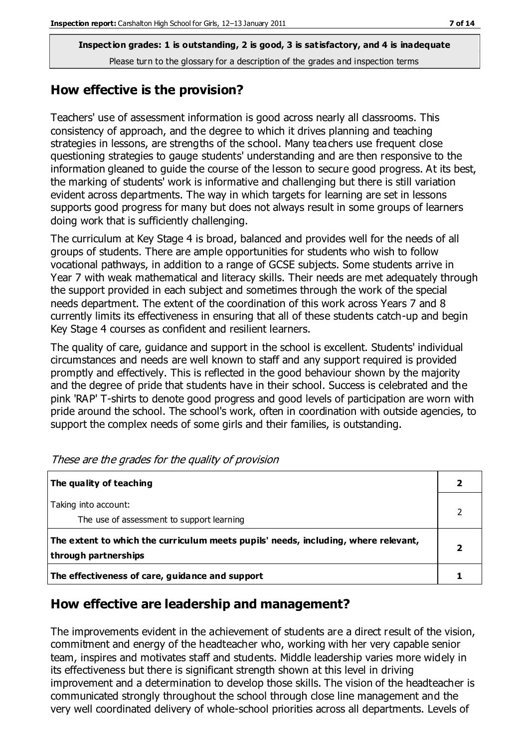#### **How effective is the provision?**

Teachers' use of assessment information is good across nearly all classrooms. This consistency of approach, and the degree to which it drives planning and teaching strategies in lessons, are strengths of the school. Many teachers use frequent close questioning strategies to gauge students' understanding and are then responsive to the information gleaned to guide the course of the lesson to secure good progress. At its best, the marking of students' work is informative and challenging but there is still variation evident across departments. The way in which targets for learning are set in lessons supports good progress for many but does not always result in some groups of learners doing work that is sufficiently challenging.

The curriculum at Key Stage 4 is broad, balanced and provides well for the needs of all groups of students. There are ample opportunities for students who wish to follow vocational pathways, in addition to a range of GCSE subjects. Some students arrive in Year 7 with weak mathematical and literacy skills. Their needs are met adequately through the support provided in each subject and sometimes through the work of the special needs department. The extent of the coordination of this work across Years 7 and 8 currently limits its effectiveness in ensuring that all of these students catch-up and begin Key Stage 4 courses as confident and resilient learners.

The quality of care, guidance and support in the school is excellent. Students' individual circumstances and needs are well known to staff and any support required is provided promptly and effectively. This is reflected in the good behaviour shown by the majority and the degree of pride that students have in their school. Success is celebrated and the pink 'RAP' T-shirts to denote good progress and good levels of participation are worn with pride around the school. The school's work, often in coordination with outside agencies, to support the complex needs of some girls and their families, is outstanding.

| The quality of teaching                                                                                    |  |
|------------------------------------------------------------------------------------------------------------|--|
| Taking into account:<br>The use of assessment to support learning                                          |  |
| The extent to which the curriculum meets pupils' needs, including, where relevant,<br>through partnerships |  |
| The effectiveness of care, guidance and support                                                            |  |

These are the grades for the quality of provision

#### **How effective are leadership and management?**

The improvements evident in the achievement of students are a direct result of the vision, commitment and energy of the headteacher who, working with her very capable senior team, inspires and motivates staff and students. Middle leadership varies more widely in its effectiveness but there is significant strength shown at this level in driving improvement and a determination to develop those skills. The vision of the headteacher is communicated strongly throughout the school through close line management and the very well coordinated delivery of whole-school priorities across all departments. Levels of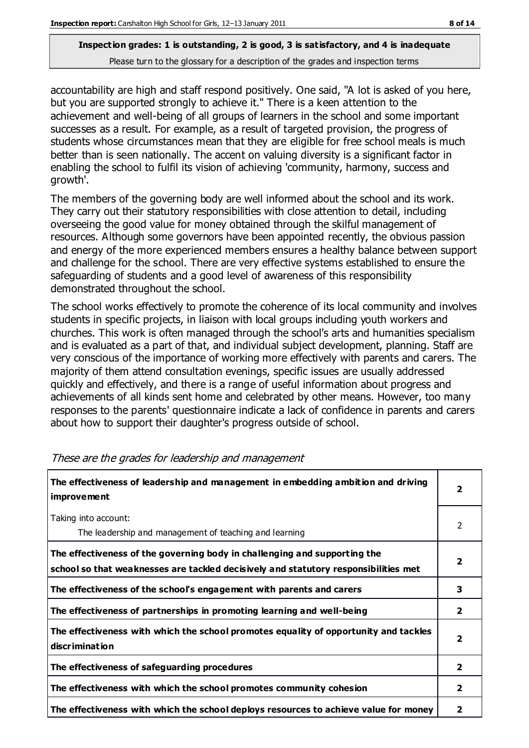accountability are high and staff respond positively. One said, "A lot is asked of you here, but you are supported strongly to achieve it." There is a keen attention to the achievement and well-being of all groups of learners in the school and some important successes as a result. For example, as a result of targeted provision, the progress of students whose circumstances mean that they are eligible for free school meals is much better than is seen nationally. The accent on valuing diversity is a significant factor in enabling the school to fulfil its vision of achieving 'community, harmony, success and growth'.

The members of the governing body are well informed about the school and its work. They carry out their statutory responsibilities with close attention to detail, including overseeing the good value for money obtained through the skilful management of resources. Although some governors have been appointed recently, the obvious passion and energy of the more experienced members ensures a healthy balance between support and challenge for the school. There are very effective systems established to ensure the safeguarding of students and a good level of awareness of this responsibility demonstrated throughout the school.

The school works effectively to promote the coherence of its local community and involves students in specific projects, in liaison with local groups including youth workers and churches. This work is often managed through the school's arts and humanities specialism and is evaluated as a part of that, and individual subject development, planning. Staff are very conscious of the importance of working more effectively with parents and carers. The majority of them attend consultation evenings, specific issues are usually addressed quickly and effectively, and there is a range of useful information about progress and achievements of all kinds sent home and celebrated by other means. However, too many responses to the parents' questionnaire indicate a lack of confidence in parents and carers about how to support their daughter's progress outside of school.

| The effectiveness of leadership and management in embedding ambition and driving<br><i>improvement</i>                                                           | $\overline{2}$          |
|------------------------------------------------------------------------------------------------------------------------------------------------------------------|-------------------------|
| Taking into account:<br>The leadership and management of teaching and learning                                                                                   | 2                       |
| The effectiveness of the governing body in challenging and supporting the<br>school so that weaknesses are tackled decisively and statutory responsibilities met | $\overline{\mathbf{2}}$ |
| The effectiveness of the school's engagement with parents and carers                                                                                             | 3                       |
| The effectiveness of partnerships in promoting learning and well-being                                                                                           | $\overline{2}$          |
| The effectiveness with which the school promotes equality of opportunity and tackles<br>discrimination                                                           | $\overline{\mathbf{2}}$ |
| The effectiveness of safeguarding procedures                                                                                                                     | $\overline{2}$          |
| The effectiveness with which the school promotes community cohesion                                                                                              | $\overline{2}$          |
| The effectiveness with which the school deploys resources to achieve value for money                                                                             | $\mathbf{2}$            |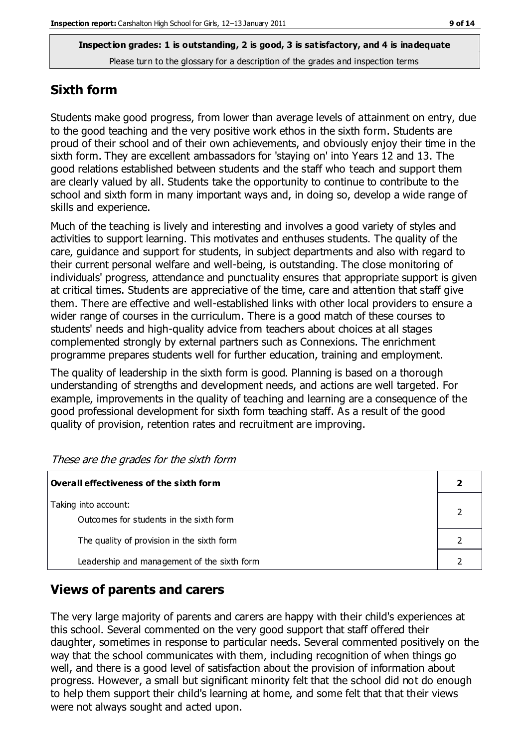### **Sixth form**

Students make good progress, from lower than average levels of attainment on entry, due to the good teaching and the very positive work ethos in the sixth form. Students are proud of their school and of their own achievements, and obviously enjoy their time in the sixth form. They are excellent ambassadors for 'staying on' into Years 12 and 13. The good relations established between students and the staff who teach and support them are clearly valued by all. Students take the opportunity to continue to contribute to the school and sixth form in many important ways and, in doing so, develop a wide range of skills and experience.

Much of the teaching is lively and interesting and involves a good variety of styles and activities to support learning. This motivates and enthuses students. The quality of the care, guidance and support for students, in subject departments and also with regard to their current personal welfare and well-being, is outstanding. The close monitoring of individuals' progress, attendance and punctuality ensures that appropriate support is given at critical times. Students are appreciative of the time, care and attention that staff give them. There are effective and well-established links with other local providers to ensure a wider range of courses in the curriculum. There is a good match of these courses to students' needs and high-quality advice from teachers about choices at all stages complemented strongly by external partners such as Connexions. The enrichment programme prepares students well for further education, training and employment.

The quality of leadership in the sixth form is good. Planning is based on a thorough understanding of strengths and development needs, and actions are well targeted. For example, improvements in the quality of teaching and learning are a consequence of the good professional development for sixth form teaching staff. As a result of the good quality of provision, retention rates and recruitment are improving.

| Overall effectiveness of the sixth form                         |  |
|-----------------------------------------------------------------|--|
| Taking into account:<br>Outcomes for students in the sixth form |  |
| The quality of provision in the sixth form                      |  |
| Leadership and management of the sixth form                     |  |

These are the grades for the sixth form

## **Views of parents and carers**

The very large majority of parents and carers are happy with their child's experiences at this school. Several commented on the very good support that staff offered their daughter, sometimes in response to particular needs. Several commented positively on the way that the school communicates with them, including recognition of when things go well, and there is a good level of satisfaction about the provision of information about progress. However, a small but significant minority felt that the school did not do enough to help them support their child's learning at home, and some felt that that their views were not always sought and acted upon.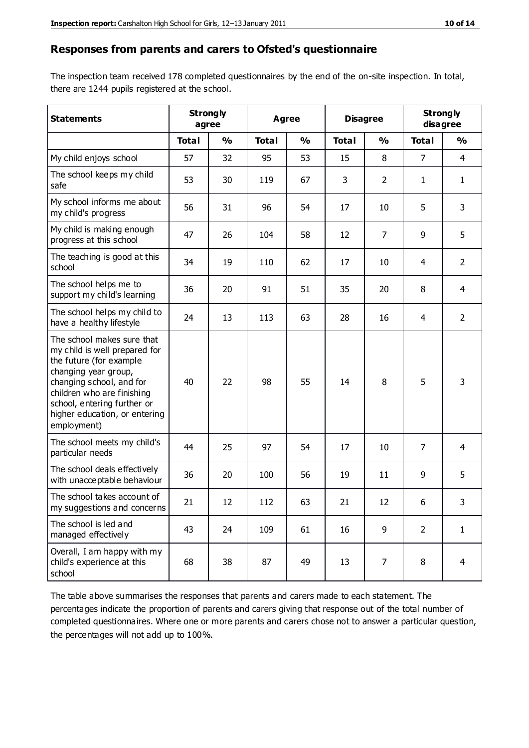#### **Responses from parents and carers to Ofsted's questionnaire**

The inspection team received 178 completed questionnaires by the end of the on-site inspection. In total, there are 1244 pupils registered at the school.

| <b>Statements</b>                                                                                                                                                                                                                                       | <b>Strongly</b> | agree         | Agree        |               | <b>Disagree</b> |                | <b>Strongly</b><br>disagree |                |
|---------------------------------------------------------------------------------------------------------------------------------------------------------------------------------------------------------------------------------------------------------|-----------------|---------------|--------------|---------------|-----------------|----------------|-----------------------------|----------------|
|                                                                                                                                                                                                                                                         | <b>Total</b>    | $\frac{0}{0}$ | <b>Total</b> | $\frac{1}{2}$ | <b>Total</b>    | $\frac{1}{2}$  | <b>Total</b>                | %              |
| My child enjoys school                                                                                                                                                                                                                                  | 57              | 32            | 95           | 53            | 15              | 8              | 7                           | $\overline{4}$ |
| The school keeps my child<br>safe                                                                                                                                                                                                                       | 53              | 30            | 119          | 67            | 3               | $\overline{2}$ | 1                           | $\mathbf{1}$   |
| My school informs me about<br>my child's progress                                                                                                                                                                                                       | 56              | 31            | 96           | 54            | 17              | 10             | 5                           | 3              |
| My child is making enough<br>progress at this school                                                                                                                                                                                                    | 47              | 26            | 104          | 58            | 12              | $\overline{7}$ | 9                           | 5              |
| The teaching is good at this<br>school                                                                                                                                                                                                                  | 34              | 19            | 110          | 62            | 17              | 10             | 4                           | $\overline{2}$ |
| The school helps me to<br>support my child's learning                                                                                                                                                                                                   | 36              | 20            | 91           | 51            | 35              | 20             | 8                           | $\overline{4}$ |
| The school helps my child to<br>have a healthy lifestyle                                                                                                                                                                                                | 24              | 13            | 113          | 63            | 28              | 16             | $\overline{4}$              | $\overline{2}$ |
| The school makes sure that<br>my child is well prepared for<br>the future (for example<br>changing year group,<br>changing school, and for<br>children who are finishing<br>school, entering further or<br>higher education, or entering<br>employment) | 40              | 22            | 98           | 55            | 14              | 8              | 5                           | 3              |
| The school meets my child's<br>particular needs                                                                                                                                                                                                         | 44              | 25            | 97           | 54            | 17              | 10             | 7                           | 4              |
| The school deals effectively<br>with unacceptable behaviour                                                                                                                                                                                             | 36              | 20            | 100          | 56            | 19              | 11             | 9                           | 5              |
| The school takes account of<br>my suggestions and concerns                                                                                                                                                                                              | 21              | 12            | 112          | 63            | 21              | 12             | 6                           | 3              |
| The school is led and<br>managed effectively                                                                                                                                                                                                            | 43              | 24            | 109          | 61            | 16              | 9              | $\overline{2}$              | $\mathbf{1}$   |
| Overall, I am happy with my<br>child's experience at this<br>school                                                                                                                                                                                     | 68              | 38            | 87           | 49            | 13              | 7              | 8                           | $\overline{4}$ |

The table above summarises the responses that parents and carers made to each statement. The percentages indicate the proportion of parents and carers giving that response out of the total number of completed questionnaires. Where one or more parents and carers chose not to answer a particular question, the percentages will not add up to 100%.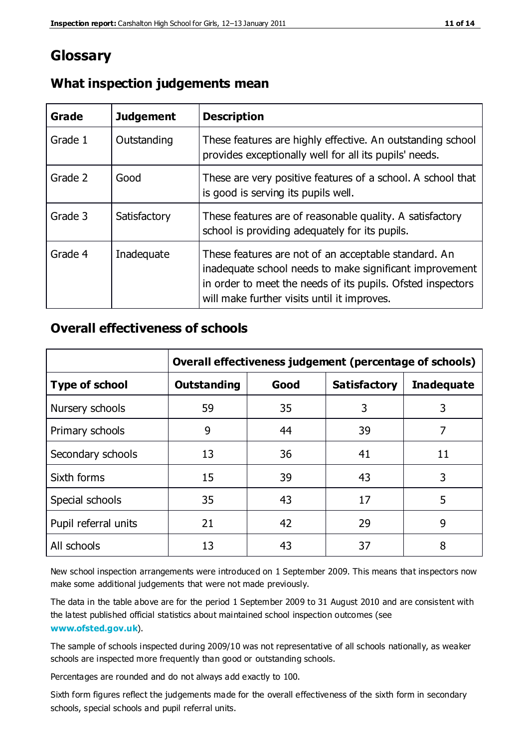# **Glossary**

| Grade   | <b>Judgement</b> | <b>Description</b>                                                                                                                                                                                                            |
|---------|------------------|-------------------------------------------------------------------------------------------------------------------------------------------------------------------------------------------------------------------------------|
| Grade 1 | Outstanding      | These features are highly effective. An outstanding school<br>provides exceptionally well for all its pupils' needs.                                                                                                          |
| Grade 2 | Good             | These are very positive features of a school. A school that<br>is good is serving its pupils well.                                                                                                                            |
| Grade 3 | Satisfactory     | These features are of reasonable quality. A satisfactory<br>school is providing adequately for its pupils.                                                                                                                    |
| Grade 4 | Inadequate       | These features are not of an acceptable standard. An<br>inadequate school needs to make significant improvement<br>in order to meet the needs of its pupils. Ofsted inspectors<br>will make further visits until it improves. |

#### **What inspection judgements mean**

## **Overall effectiveness of schools**

|                       | Overall effectiveness judgement (percentage of schools) |      |                     |                   |
|-----------------------|---------------------------------------------------------|------|---------------------|-------------------|
| <b>Type of school</b> | <b>Outstanding</b>                                      | Good | <b>Satisfactory</b> | <b>Inadequate</b> |
| Nursery schools       | 59                                                      | 35   | 3                   | 3                 |
| Primary schools       | 9                                                       | 44   | 39                  | 7                 |
| Secondary schools     | 13                                                      | 36   | 41                  | 11                |
| Sixth forms           | 15                                                      | 39   | 43                  | 3                 |
| Special schools       | 35                                                      | 43   | 17                  | 5                 |
| Pupil referral units  | 21                                                      | 42   | 29                  | 9                 |
| All schools           | 13                                                      | 43   | 37                  | 8                 |

New school inspection arrangements were introduced on 1 September 2009. This means that inspectors now make some additional judgements that were not made previously.

The data in the table above are for the period 1 September 2009 to 31 August 2010 and are consistent with the latest published official statistics about maintained school inspection outcomes (see **[www.ofsted.gov.uk](http://www.ofsted.gov.uk/)**).

The sample of schools inspected during 2009/10 was not representative of all schools nationally, as weaker schools are inspected more frequently than good or outstanding schools.

Percentages are rounded and do not always add exactly to 100.

Sixth form figures reflect the judgements made for the overall effectiveness of the sixth form in secondary schools, special schools and pupil referral units.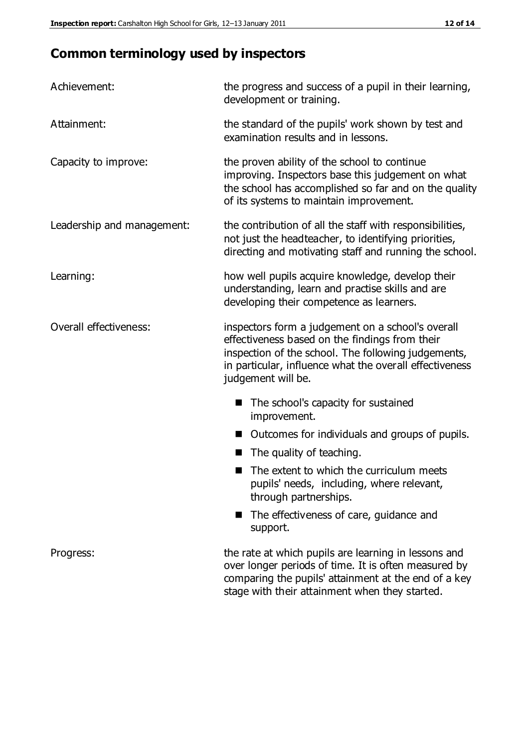# **Common terminology used by inspectors**

| Achievement:               | the progress and success of a pupil in their learning,<br>development or training.                                                                                                                                                          |  |  |
|----------------------------|---------------------------------------------------------------------------------------------------------------------------------------------------------------------------------------------------------------------------------------------|--|--|
| Attainment:                | the standard of the pupils' work shown by test and<br>examination results and in lessons.                                                                                                                                                   |  |  |
| Capacity to improve:       | the proven ability of the school to continue<br>improving. Inspectors base this judgement on what<br>the school has accomplished so far and on the quality<br>of its systems to maintain improvement.                                       |  |  |
| Leadership and management: | the contribution of all the staff with responsibilities,<br>not just the headteacher, to identifying priorities,<br>directing and motivating staff and running the school.                                                                  |  |  |
| Learning:                  | how well pupils acquire knowledge, develop their<br>understanding, learn and practise skills and are<br>developing their competence as learners.                                                                                            |  |  |
| Overall effectiveness:     | inspectors form a judgement on a school's overall<br>effectiveness based on the findings from their<br>inspection of the school. The following judgements,<br>in particular, influence what the overall effectiveness<br>judgement will be. |  |  |
|                            | The school's capacity for sustained<br>improvement.                                                                                                                                                                                         |  |  |
|                            | Outcomes for individuals and groups of pupils.                                                                                                                                                                                              |  |  |
|                            | The quality of teaching.                                                                                                                                                                                                                    |  |  |
|                            | The extent to which the curriculum meets<br>pupils' needs, including, where relevant,<br>through partnerships.                                                                                                                              |  |  |
|                            | The effectiveness of care, guidance and<br>support.                                                                                                                                                                                         |  |  |
| Progress:                  | the rate at which pupils are learning in lessons and<br>over longer periods of time. It is often measured by<br>comparing the pupils' attainment at the end of a key                                                                        |  |  |

stage with their attainment when they started.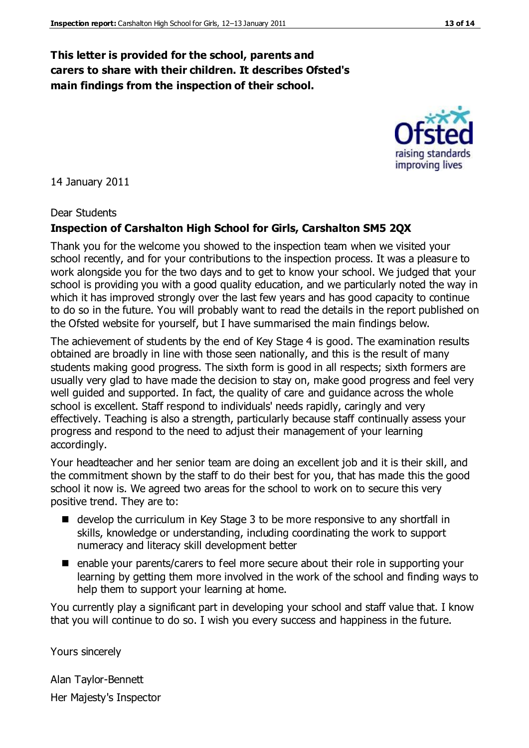### **This letter is provided for the school, parents and carers to share with their children. It describes Ofsted's main findings from the inspection of their school.**

14 January 2011

#### Dear Students

#### **Inspection of Carshalton High School for Girls, Carshalton SM5 2QX**

Thank you for the welcome you showed to the inspection team when we visited your school recently, and for your contributions to the inspection process. It was a pleasure to work alongside you for the two days and to get to know your school. We judged that your school is providing you with a good quality education, and we particularly noted the way in which it has improved strongly over the last few years and has good capacity to continue to do so in the future. You will probably want to read the details in the report published on the Ofsted website for yourself, but I have summarised the main findings below.

The achievement of students by the end of Key Stage 4 is good. The examination results obtained are broadly in line with those seen nationally, and this is the result of many students making good progress. The sixth form is good in all respects; sixth formers are usually very glad to have made the decision to stay on, make good progress and feel very well guided and supported. In fact, the quality of care and guidance across the whole school is excellent. Staff respond to individuals' needs rapidly, caringly and very effectively. Teaching is also a strength, particularly because staff continually assess your progress and respond to the need to adjust their management of your learning accordingly.

Your headteacher and her senior team are doing an excellent job and it is their skill, and the commitment shown by the staff to do their best for you, that has made this the good school it now is. We agreed two areas for the school to work on to secure this very positive trend. They are to:

- develop the curriculum in Key Stage 3 to be more responsive to any shortfall in skills, knowledge or understanding, including coordinating the work to support numeracy and literacy skill development better
- enable your parents/carers to feel more secure about their role in supporting your learning by getting them more involved in the work of the school and finding ways to help them to support your learning at home.

You currently play a significant part in developing your school and staff value that. I know that you will continue to do so. I wish you every success and happiness in the future.

Yours sincerely

Alan Taylor-Bennett Her Majesty's Inspector